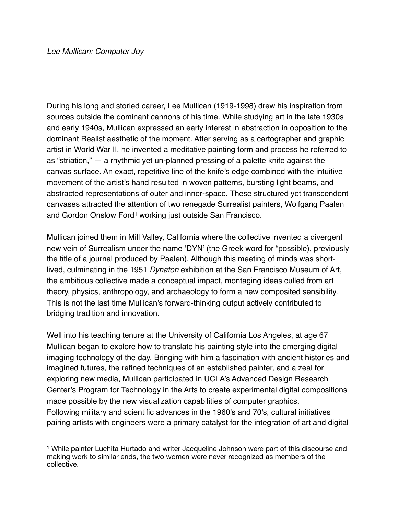During his long and storied career, Lee Mullican (1919-1998) drew his inspiration from sources outside the dominant cannons of his time. While studying art in the late 1930s and early 1940s, Mullican expressed an early interest in abstraction in opposition to the dominant Realist aesthetic of the moment. After serving as a cartographer and graphic artist in World War II, he invented a meditative painting form and process he referred to as "striation," — a rhythmic yet un-planned pressing of a palette knife against the canvas surface. An exact, repetitive line of the knife's edge combined with the intuitive movement of the artist's hand resulted in woven patterns, bursting light beams, and abstracted representations of outer and inner-space. These structured yet transcendent canvases attracted the attention of two renegade Surrealist painters, Wolfgang Paalen and Gordon Onslow Ford<sup>1</sup> working just outside San Francisco.

<span id="page-0-1"></span>Mullican joined them in Mill Valley, California where the collective invented a divergent new vein of Surrealism under the name 'DYN' (the Greek word for "possible), previously the title of a journal produced by Paalen). Although this meeting of minds was shortlived, culminating in the 1951 *Dynaton* exhibition at the San Francisco Museum of Art, the ambitious collective made a conceptual impact, montaging ideas culled from art theory, physics, anthropology, and archaeology to form a new composited sensibility. This is not the last time Mullican's forward-thinking output actively contributed to bridging tradition and innovation.

Well into his teaching tenure at the University of California Los Angeles, at age 67 Mullican began to explore how to translate his painting style into the emerging digital imaging technology of the day. Bringing with him a fascination with ancient histories and imagined futures, the refined techniques of an established painter, and a zeal for exploring new media, Mullican participated in UCLA's Advanced Design Research Center's Program for Technology in the Arts to create experimental digital compositions made possible by the new visualization capabilities of computer graphics. Following military and scientific advances in the 1960's and 70's, cultural initiatives pairing artists with engineers were a primary catalyst for the integration of art and digital

<span id="page-0-0"></span><sup>&</sup>lt;sup>[1](#page-0-1)</sup> While painter Luchita Hurtado and writer Jacqueline Johnson were part of this discourse and making work to similar ends, the two women were never recognized as members of the collective.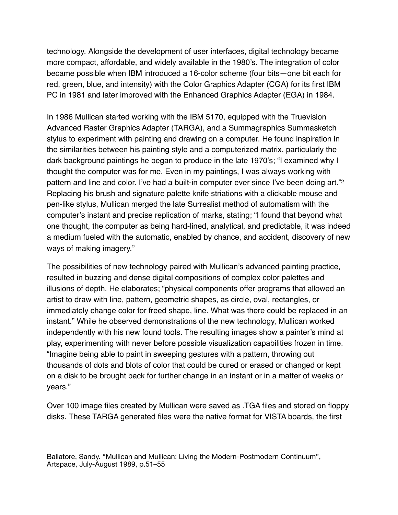technology. Alongside the development of user interfaces, digital technology became more compact, affordable, and widely available in the 1980's. The integration of color became possible when IBM introduced a 16-color scheme (four bits—one bit each for red, green, blue, and intensity) with the Color Graphics Adapter (CGA) for its first IBM PC in 1981 and later improved with the Enhanced Graphics Adapter (EGA) in 1984.

In 1986 Mullican started working with the IBM 5170, equipped with the Truevision Advanced Raster Graphics Adapter (TARGA), and a Summagraphics Summasketch stylus to experiment with painting and drawing on a computer. He found inspiration in the similarities between his painting style and a computerized matrix, particularly the dark background paintings he began to produce in the late 1970's; "I examined why I thought the computer was for me. Even in my paintings, I was always working with pattern and line and color. I've had a built-in computer ever since I've been doing art."<sup>2</sup> Replacing his brush and signature palette knife striations with a clickable mouse and pen-like stylus, Mullican merged the late Surrealist method of automatism with the computer's instant and precise replication of marks, stating; "I found that beyond what one thought, the computer as being hard-lined, analytical, and predictable, it was indeed a medium fueled with the automatic, enabled by chance, and accident, discovery of new ways of making imagery."

The possibilities of new technology paired with Mullican's advanced painting practice, resulted in buzzing and dense digital compositions of complex color palettes and illusions of depth. He elaborates; "physical components offer programs that allowed an artist to draw with line, pattern, geometric shapes, as circle, oval, rectangles, or immediately change color for freed shape, line. What was there could be replaced in an instant." While he observed demonstrations of the new technology, Mullican worked independently with his new found tools. The resulting images show a painter's mind at play, experimenting with never before possible visualization capabilities frozen in time. "Imagine being able to paint in sweeping gestures with a pattern, throwing out thousands of dots and blots of color that could be cured or erased or changed or kept on a disk to be brought back for further change in an instant or in a matter of weeks or years."

Over 100 image files created by Mullican were saved as .TGA files and stored on floppy disks. These TARGA generated files were the native format for VISTA boards, the first

Ballatore, Sandy. "Mullican and Mullican: Living the Modern-Postmodern Continuum", Artspace, July-August 1989, p.51–55